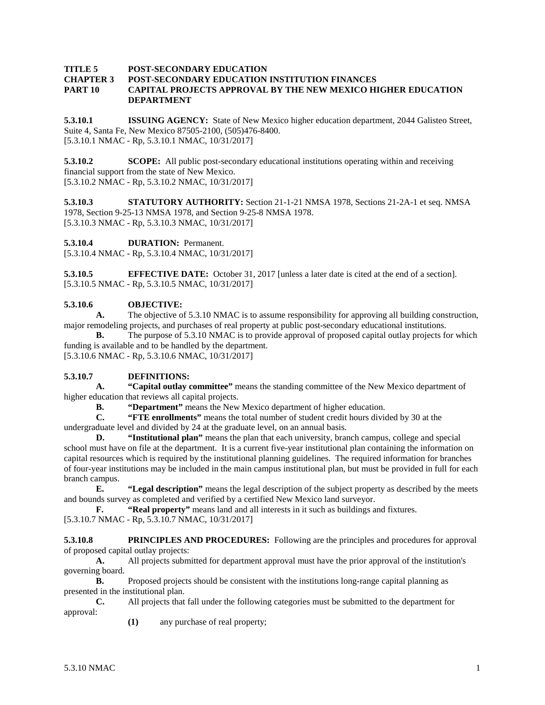#### **TITLE 5 POST-SECONDARY EDUCATION**

#### **CHAPTER 3 POST-SECONDARY EDUCATION INSTITUTION FINANCES PART 10 CAPITAL PROJECTS APPROVAL BY THE NEW MEXICO HIGHER EDUCATION DEPARTMENT**

**5.3.10.1 ISSUING AGENCY:** State of New Mexico higher education department, 2044 Galisteo Street, Suite 4, Santa Fe, New Mexico 87505-2100, (505)476-8400. [5.3.10.1 NMAC - Rp, 5.3.10.1 NMAC, 10/31/2017]

**5.3.10.2 SCOPE:** All public post-secondary educational institutions operating within and receiving financial support from the state of New Mexico. [5.3.10.2 NMAC - Rp, 5.3.10.2 NMAC, 10/31/2017]

**5.3.10.3 STATUTORY AUTHORITY:** Section 21-1-21 NMSA 1978, Sections 21-2A-1 et seq. NMSA 1978, Section 9-25-13 NMSA 1978, and Section 9-25-8 NMSA 1978. [5.3.10.3 NMAC - Rp, 5.3.10.3 NMAC, 10/31/2017]

**5.3.10.4 DURATION:** Permanent.

[5.3.10.4 NMAC - Rp, 5.3.10.4 NMAC, 10/31/2017]

**5.3.10.5 EFFECTIVE DATE:** October 31, 2017 [unless a later date is cited at the end of a section]. [5.3.10.5 NMAC - Rp, 5.3.10.5 NMAC, 10/31/2017]

#### **5.3.10.6 OBJECTIVE:**

**A.** The objective of 5.3.10 NMAC is to assume responsibility for approving all building construction, major remodeling projects, and purchases of real property at public post-secondary educational institutions.

**B.** The purpose of 5.3.10 NMAC is to provide approval of proposed capital outlay projects for which funding is available and to be handled by the department.

[5.3.10.6 NMAC - Rp, 5.3.10.6 NMAC, 10/31/2017]

## **5.3.10.7 DEFINITIONS:**

**A. "Capital outlay committee"** means the standing committee of the New Mexico department of higher education that reviews all capital projects.

**B. "Department"** means the New Mexico department of higher education.<br>**C. "FTE enrollments"** means the total number of student credit hours divident

**C. "FTE enrollments"** means the total number of student credit hours divided by 30 at the

undergraduate level and divided by 24 at the graduate level, on an annual basis.

**D. "Institutional plan"** means the plan that each university, branch campus, college and special school must have on file at the department. It is a current five-year institutional plan containing the information on capital resources which is required by the institutional planning guidelines. The required information for branches of four-year institutions may be included in the main campus institutional plan, but must be provided in full for each branch campus.

**E. "Legal description"** means the legal description of the subject property as described by the meets and bounds survey as completed and verified by a certified New Mexico land surveyor.<br> **F.** "Real property" means land and all interests in it such as buildings a

**"Real property"** means land and all interests in it such as buildings and fixtures.

# [5.3.10.7 NMAC - Rp, 5.3.10.7 NMAC, 10/31/2017]

**5.3.10.8 PRINCIPLES AND PROCEDURES:** Following are the principles and procedures for approval of proposed capital outlay projects:

**A.** All projects submitted for department approval must have the prior approval of the institution's governing board.

**B.** Proposed projects should be consistent with the institutions long-range capital planning as presented in the institutional plan.

**C.** All projects that fall under the following categories must be submitted to the department for approval:

**(1)** any purchase of real property;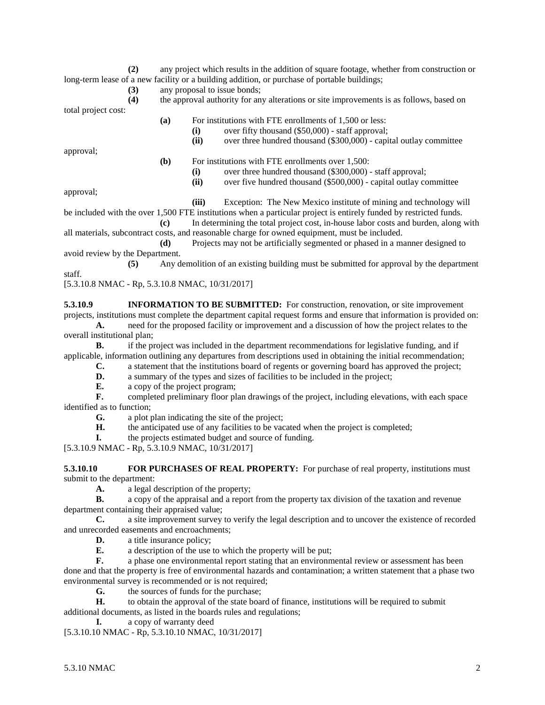**(2)** any project which results in the addition of square footage, whether from construction or long-term lease of a new facility or a building addition, or purchase of portable buildings;

**(3)** any proposal to issue bonds;

**(4)** the approval authority for any alterations or site improvements is as follows, based on total project cost:

**(a)** For institutions with FTE enrollments of 1,500 or less:

(i) over fifty thousand (\$50,000) - staff approval;<br>(ii) over three hundred thousand (\$300,000) - capi over three hundred thousand (\$300,000) - capital outlay committee

approval;

- **(b)** For institutions with FTE enrollments over 1,500:
	- **(i)** over three hundred thousand (\$300,000) staff approval;
	- **(ii)** over five hundred thousand (\$500,000) capital outlay committee

approval;

**(iii)** Exception: The New Mexico institute of mining and technology will

be included with the over 1,500 FTE institutions when a particular project is entirely funded by restricted funds.

**(c)** In determining the total project cost, in-house labor costs and burden, along with all materials, subcontract costs, and reasonable charge for owned equipment, must be included.

**(d)** Projects may not be artificially segmented or phased in a manner designed to avoid review by the Department.

**(5)** Any demolition of an existing building must be submitted for approval by the department staff.

[5.3.10.8 NMAC - Rp, 5.3.10.8 NMAC, 10/31/2017]

**5.3.10.9 INFORMATION TO BE SUBMITTED:** For construction, renovation, or site improvement projects, institutions must complete the department capital request forms and ensure that information is provided on:

**A.** need for the proposed facility or improvement and a discussion of how the project relates to the overall institutional plan;

**B.** if the project was included in the department recommendations for legislative funding, and if applicable, information outlining any departures from descriptions used in obtaining the initial recommendation;

- **C.** a statement that the institutions board of regents or governing board has approved the project;
- **D.** a summary of the types and sizes of facilities to be included in the project;<br>**E.** a copy of the project program:
- **E.** a copy of the project program;

**F.** completed preliminary floor plan drawings of the project, including elevations, with each space identified as to function;<br> $\mathbf{G}_{\mathbf{r}}$  a plot t

**G.** a plot plan indicating the site of the project;

**H.** the anticipated use of any facilities to be vacated when the project is completed;

**I.** the projects estimated budget and source of funding.

[5.3.10.9 NMAC - Rp, 5.3.10.9 NMAC, 10/31/2017]

**5.3.10.10 FOR PURCHASES OF REAL PROPERTY:** For purchase of real property, institutions must submit to the department:

**A.** a legal description of the property;

**B.** a copy of the appraisal and a report from the property tax division of the taxation and revenue department containing their appraised value;

**C.** a site improvement survey to verify the legal description and to uncover the existence of recorded and unrecorded easements and encroachments;

**D.** a title insurance policy;

**E.** a description of the use to which the property will be put;

**F.** a phase one environmental report stating that an environmental review or assessment has been done and that the property is free of environmental hazards and contamination; a written statement that a phase two environmental survey is recommended or is not required;

**G.** the sources of funds for the purchase;

**H.** to obtain the approval of the state board of finance, institutions will be required to submit additional documents, as listed in the boards rules and regulations;

**I.** a copy of warranty deed

[5.3.10.10 NMAC - Rp, 5.3.10.10 NMAC, 10/31/2017]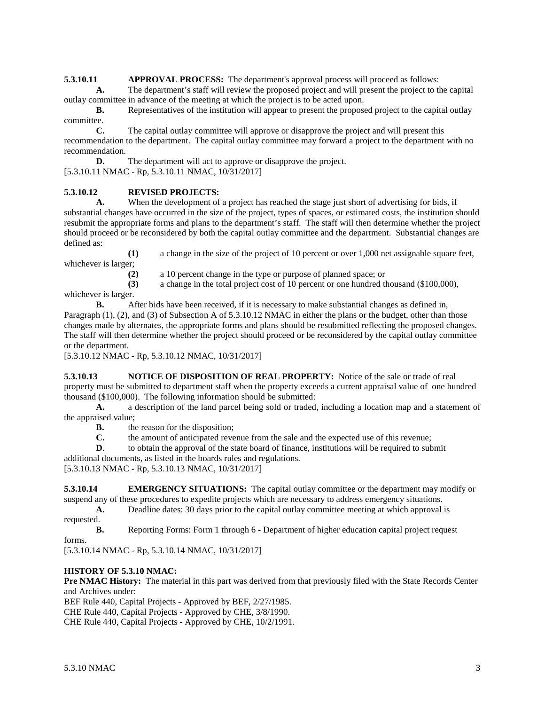**5.3.10.11 APPROVAL PROCESS:** The department's approval process will proceed as follows:

**A.** The department's staff will review the proposed project and will present the project to the capital outlay committee in advance of the meeting at which the project is to be acted upon.

**B.** Representatives of the institution will appear to present the proposed project to the capital outlay committee.

**C.** The capital outlay committee will approve or disapprove the project and will present this recommendation to the department. The capital outlay committee may forward a project to the department with no recommendation.

**D.** The department will act to approve or disapprove the project. [5.3.10.11 NMAC - Rp, 5.3.10.11 NMAC, 10/31/2017]

## **5.3.10.12 REVISED PROJECTS:**

**A.** When the development of a project has reached the stage just short of advertising for bids, if substantial changes have occurred in the size of the project, types of spaces, or estimated costs, the institution should resubmit the appropriate forms and plans to the department's staff. The staff will then determine whether the project should proceed or be reconsidered by both the capital outlay committee and the department. Substantial changes are defined as:

**(1)** a change in the size of the project of 10 percent or over 1,000 net assignable square feet, whichever is larger;

**(2)** a 10 percent change in the type or purpose of planned space; or

**(3)** a change in the total project cost of 10 percent or one hundred thousand (\$100,000),

whichever is larger.

**B.** After bids have been received, if it is necessary to make substantial changes as defined in, Paragraph (1), (2), and (3) of Subsection A of 5.3.10.12 NMAC in either the plans or the budget, other than those changes made by alternates, the appropriate forms and plans should be resubmitted reflecting the proposed changes. The staff will then determine whether the project should proceed or be reconsidered by the capital outlay committee or the department.

[5.3.10.12 NMAC - Rp, 5.3.10.12 NMAC, 10/31/2017]

**5.3.10.13 NOTICE OF DISPOSITION OF REAL PROPERTY:** Notice of the sale or trade of real property must be submitted to department staff when the property exceeds a current appraisal value of one hundred thousand (\$100,000). The following information should be submitted:

**A.** a description of the land parcel being sold or traded, including a location map and a statement of the appraised value;

**B.** the reason for the disposition:

**C.** the amount of anticipated revenue from the sale and the expected use of this revenue;

**D.** to obtain the approval of the state board of finance, institutions will be required to submit

additional documents, as listed in the boards rules and regulations.

[5.3.10.13 NMAC - Rp, 5.3.10.13 NMAC, 10/31/2017]

**5.3.10.14 EMERGENCY SITUATIONS:** The capital outlay committee or the department may modify or suspend any of these procedures to expedite projects which are necessary to address emergency situations.

**A.** Deadline dates: 30 days prior to the capital outlay committee meeting at which approval is requested.

**B.** Reporting Forms: Form 1 through 6 - Department of higher education capital project request

forms.

[5.3.10.14 NMAC - Rp, 5.3.10.14 NMAC, 10/31/2017]

## **HISTORY OF 5.3.10 NMAC:**

**Pre NMAC History:** The material in this part was derived from that previously filed with the State Records Center and Archives under:

BEF Rule 440, Capital Projects - Approved by BEF, 2/27/1985.

CHE Rule 440, Capital Projects - Approved by CHE, 3/8/1990.

CHE Rule 440, Capital Projects - Approved by CHE, 10/2/1991.